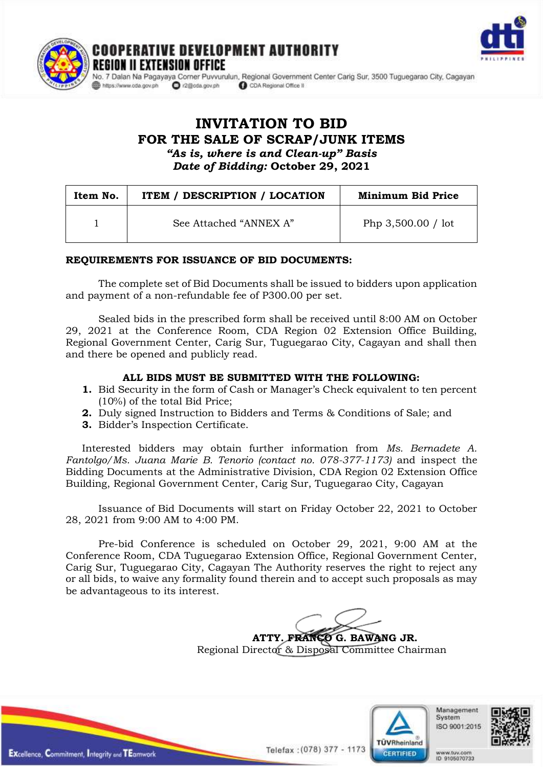



SION OFFICE No. 7 Dalan Na Pagayaya Corner Puvvurulun, Regional Government Center Carig Sur, 3500 Tuguegarao City, Cagayan O r2@cda.gov.ph CDA Regional Office II

# **INVITATION TO BID FOR THE SALE OF SCRAP/JUNK ITEMS** *"As is, where is and Clean-up" Basis Date of Bidding:* **October 29, 2021**

E DEVELOPMENT AUTHORITY

| Item No. | <b>ITEM / DESCRIPTION / LOCATION</b> | <b>Minimum Bid Price</b> |
|----------|--------------------------------------|--------------------------|
|          | See Attached "ANNEX A"               | Php $3,500.00 /$ lot     |

# **REQUIREMENTS FOR ISSUANCE OF BID DOCUMENTS:**

The complete set of Bid Documents shall be issued to bidders upon application and payment of a non-refundable fee of P300.00 per set.

Sealed bids in the prescribed form shall be received until 8:00 AM on October 29, 2021 at the Conference Room, CDA Region 02 Extension Office Building, Regional Government Center, Carig Sur, Tuguegarao City, Cagayan and shall then and there be opened and publicly read.

#### **ALL BIDS MUST BE SUBMITTED WITH THE FOLLOWING:**

- **1.** Bid Security in the form of Cash or Manager's Check equivalent to ten percent (10%) of the total Bid Price;
- **2.** Duly signed Instruction to Bidders and Terms & Conditions of Sale; and
- **3.** Bidder's Inspection Certificate.

Interested bidders may obtain further information from *Ms. Bernadete A. Fantolgo/Ms. Juana Marie B. Tenorio (contact no. 078-377-1173)* and inspect the Bidding Documents at the Administrative Division, CDA Region 02 Extension Office Building, Regional Government Center, Carig Sur, Tuguegarao City, Cagayan

Issuance of Bid Documents will start on Friday October 22, 2021 to October 28, 2021 from 9:00 AM to 4:00 PM.

Pre-bid Conference is scheduled on October 29, 2021, 9:00 AM at the Conference Room, CDA Tuguegarao Extension Office, Regional Government Center, Carig Sur, Tuguegarao City, Cagayan The Authority reserves the right to reject any or all bids, to waive any formality found therein and to accept such proposals as may be advantageous to its interest.

> **ATTY. FRANCO G. BAWANG JR.** Regional Director & Disposal Committee Chairman



Management System ISO 9001:2015

www.tuv.com<br>ID 9105070733



Telefax: (078) 377 - 1173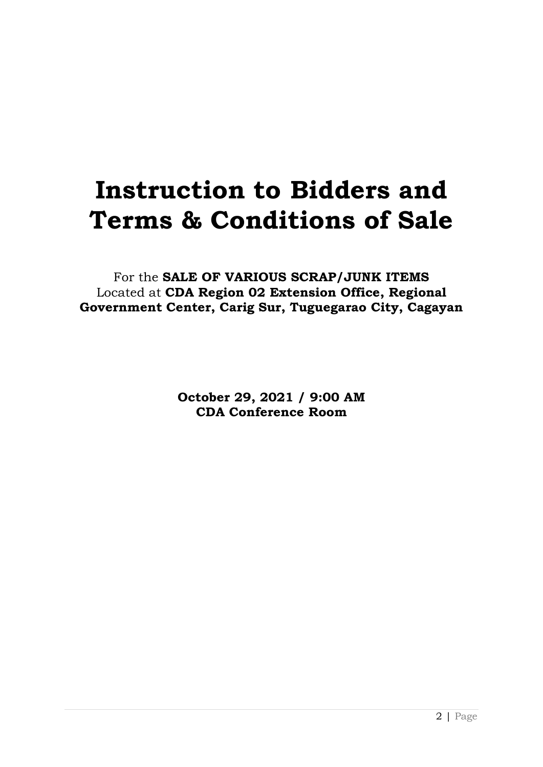# **Instruction to Bidders and Terms & Conditions of Sale**

For the **SALE OF VARIOUS SCRAP/JUNK ITEMS** Located at **CDA Region 02 Extension Office, Regional Government Center, Carig Sur, Tuguegarao City, Cagayan**

> **October 29, 2021 / 9:00 AM CDA Conference Room**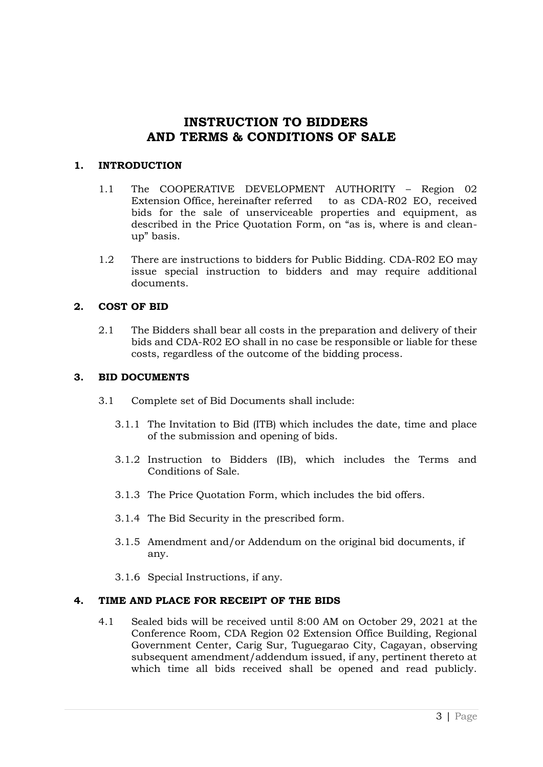# **INSTRUCTION TO BIDDERS AND TERMS & CONDITIONS OF SALE**

# **1. INTRODUCTION**

- 1.1 The COOPERATIVE DEVELOPMENT AUTHORITY Region 02 Extension Office, hereinafter referred to as CDA-R02 EO, received bids for the sale of unserviceable properties and equipment, as described in the Price Quotation Form, on "as is, where is and cleanup" basis.
- 1.2 There are instructions to bidders for Public Bidding. CDA-R02 EO may issue special instruction to bidders and may require additional documents.

# **2. COST OF BID**

2.1 The Bidders shall bear all costs in the preparation and delivery of their bids and CDA-R02 EO shall in no case be responsible or liable for these costs, regardless of the outcome of the bidding process.

# **3. BID DOCUMENTS**

- 3.1 Complete set of Bid Documents shall include:
	- 3.1.1 The Invitation to Bid (ITB) which includes the date, time and place of the submission and opening of bids.
	- 3.1.2 Instruction to Bidders (IB), which includes the Terms and Conditions of Sale.
	- 3.1.3 The Price Quotation Form, which includes the bid offers.
	- 3.1.4 The Bid Security in the prescribed form.
	- 3.1.5 Amendment and/or Addendum on the original bid documents, if any.
	- 3.1.6 Special Instructions, if any.

# **4. TIME AND PLACE FOR RECEIPT OF THE BIDS**

4.1 Sealed bids will be received until 8:00 AM on October 29, 2021 at the Conference Room, CDA Region 02 Extension Office Building, Regional Government Center, Carig Sur, Tuguegarao City, Cagayan, observing subsequent amendment/addendum issued, if any, pertinent thereto at which time all bids received shall be opened and read publicly.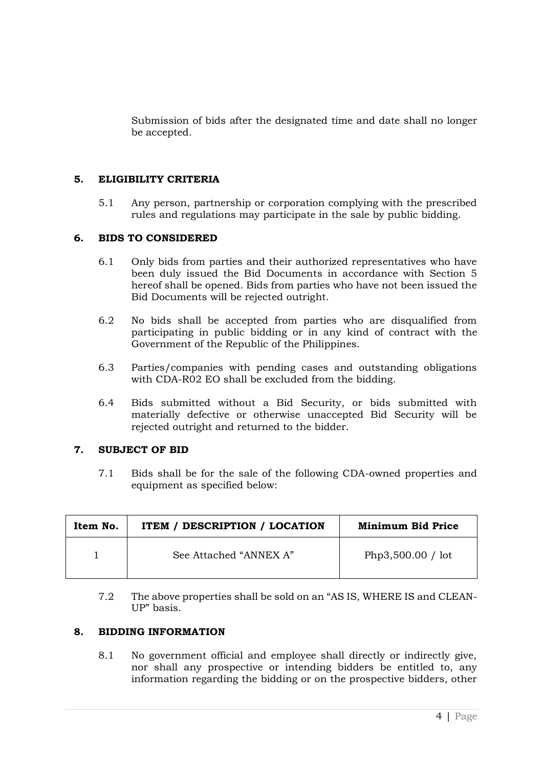Submission of bids after the designated time and date shall no longer be accepted.

#### **5. ELIGIBILITY CRITERIA**

5.1 Any person, partnership or corporation complying with the prescribed rules and regulations may participate in the sale by public bidding.

#### **6. BIDS TO CONSIDERED**

- 6.1 Only bids from parties and their authorized representatives who have been duly issued the Bid Documents in accordance with Section 5 hereof shall be opened. Bids from parties who have not been issued the Bid Documents will be rejected outright.
- 6.2 No bids shall be accepted from parties who are disqualified from participating in public bidding or in any kind of contract with the Government of the Republic of the Philippines.
- 6.3 Parties/companies with pending cases and outstanding obligations with CDA-R02 EO shall be excluded from the bidding.
- 6.4 Bids submitted without a Bid Security, or bids submitted with materially defective or otherwise unaccepted Bid Security will be rejected outright and returned to the bidder.

#### **7. SUBJECT OF BID**

7.1 Bids shall be for the sale of the following CDA-owned properties and equipment as specified below:

| Item No. | <b>ITEM / DESCRIPTION / LOCATION</b> | Minimum Bid Price |
|----------|--------------------------------------|-------------------|
|          | See Attached "ANNEX A"               | Php3,500.00 / lot |

7.2 The above properties shall be sold on an "AS IS, WHERE IS and CLEAN-UP" basis.

#### **8. BIDDING INFORMATION**

8.1 No government official and employee shall directly or indirectly give, nor shall any prospective or intending bidders be entitled to, any information regarding the bidding or on the prospective bidders, other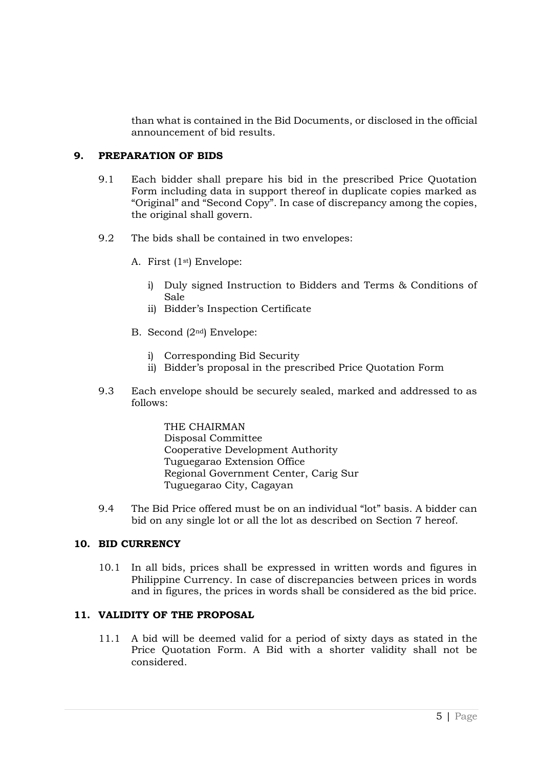than what is contained in the Bid Documents, or disclosed in the official announcement of bid results.

# **9. PREPARATION OF BIDS**

- 9.1 Each bidder shall prepare his bid in the prescribed Price Quotation Form including data in support thereof in duplicate copies marked as "Original" and "Second Copy". In case of discrepancy among the copies, the original shall govern.
- 9.2 The bids shall be contained in two envelopes:
	- A. First (1st) Envelope:
		- i) Duly signed Instruction to Bidders and Terms & Conditions of Sale
		- ii) Bidder's Inspection Certificate
	- B. Second (2nd) Envelope:
		- i) Corresponding Bid Security
		- ii) Bidder's proposal in the prescribed Price Quotation Form
- 9.3 Each envelope should be securely sealed, marked and addressed to as follows:

THE CHAIRMAN Disposal Committee Cooperative Development Authority Tuguegarao Extension Office Regional Government Center, Carig Sur Tuguegarao City, Cagayan

9.4 The Bid Price offered must be on an individual "lot" basis. A bidder can bid on any single lot or all the lot as described on Section 7 hereof.

# **10. BID CURRENCY**

10.1 In all bids, prices shall be expressed in written words and figures in Philippine Currency. In case of discrepancies between prices in words and in figures, the prices in words shall be considered as the bid price.

# **11. VALIDITY OF THE PROPOSAL**

11.1 A bid will be deemed valid for a period of sixty days as stated in the Price Quotation Form. A Bid with a shorter validity shall not be considered.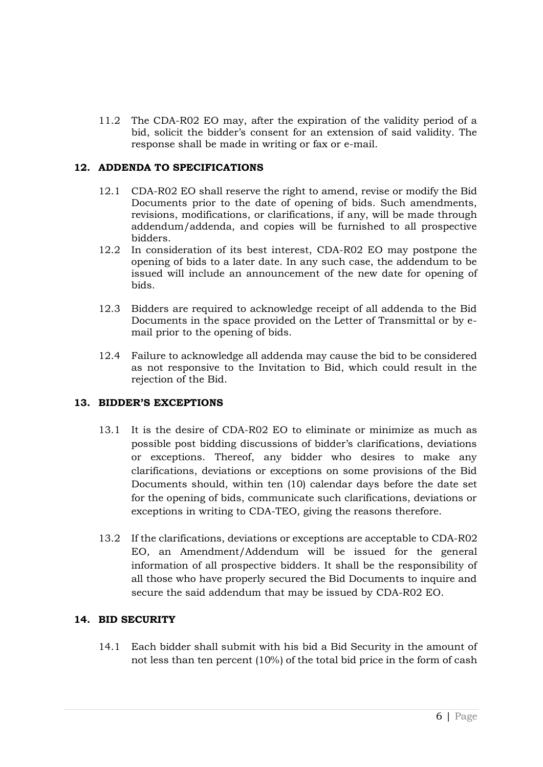11.2 The CDA-R02 EO may, after the expiration of the validity period of a bid, solicit the bidder's consent for an extension of said validity. The response shall be made in writing or fax or e-mail.

# **12. ADDENDA TO SPECIFICATIONS**

- 12.1 CDA-R02 EO shall reserve the right to amend, revise or modify the Bid Documents prior to the date of opening of bids. Such amendments, revisions, modifications, or clarifications, if any, will be made through addendum/addenda, and copies will be furnished to all prospective bidders.
- 12.2 In consideration of its best interest, CDA-R02 EO may postpone the opening of bids to a later date. In any such case, the addendum to be issued will include an announcement of the new date for opening of bids.
- 12.3 Bidders are required to acknowledge receipt of all addenda to the Bid Documents in the space provided on the Letter of Transmittal or by email prior to the opening of bids.
- 12.4 Failure to acknowledge all addenda may cause the bid to be considered as not responsive to the Invitation to Bid, which could result in the rejection of the Bid.

# **13. BIDDER'S EXCEPTIONS**

- 13.1 It is the desire of CDA-R02 EO to eliminate or minimize as much as possible post bidding discussions of bidder's clarifications, deviations or exceptions. Thereof, any bidder who desires to make any clarifications, deviations or exceptions on some provisions of the Bid Documents should, within ten (10) calendar days before the date set for the opening of bids, communicate such clarifications, deviations or exceptions in writing to CDA-TEO, giving the reasons therefore.
- 13.2 If the clarifications, deviations or exceptions are acceptable to CDA-R02 EO, an Amendment/Addendum will be issued for the general information of all prospective bidders. It shall be the responsibility of all those who have properly secured the Bid Documents to inquire and secure the said addendum that may be issued by CDA-R02 EO.

# **14. BID SECURITY**

14.1 Each bidder shall submit with his bid a Bid Security in the amount of not less than ten percent (10%) of the total bid price in the form of cash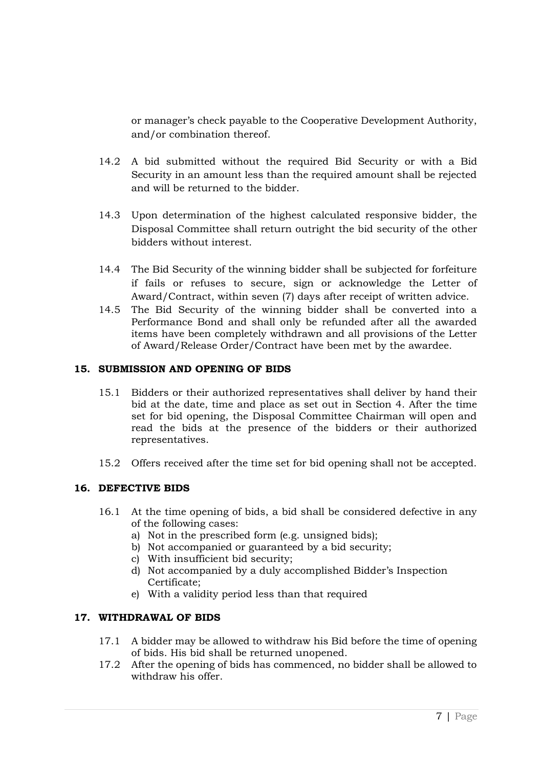or manager's check payable to the Cooperative Development Authority, and/or combination thereof.

- 14.2 A bid submitted without the required Bid Security or with a Bid Security in an amount less than the required amount shall be rejected and will be returned to the bidder.
- 14.3 Upon determination of the highest calculated responsive bidder, the Disposal Committee shall return outright the bid security of the other bidders without interest.
- 14.4 The Bid Security of the winning bidder shall be subjected for forfeiture if fails or refuses to secure, sign or acknowledge the Letter of Award/Contract, within seven (7) days after receipt of written advice.
- 14.5 The Bid Security of the winning bidder shall be converted into a Performance Bond and shall only be refunded after all the awarded items have been completely withdrawn and all provisions of the Letter of Award/Release Order/Contract have been met by the awardee.

# **15. SUBMISSION AND OPENING OF BIDS**

- 15.1 Bidders or their authorized representatives shall deliver by hand their bid at the date, time and place as set out in Section 4. After the time set for bid opening, the Disposal Committee Chairman will open and read the bids at the presence of the bidders or their authorized representatives.
- 15.2 Offers received after the time set for bid opening shall not be accepted.

# **16. DEFECTIVE BIDS**

- 16.1 At the time opening of bids, a bid shall be considered defective in any of the following cases:
	- a) Not in the prescribed form (e.g. unsigned bids);
	- b) Not accompanied or guaranteed by a bid security;
	- c) With insufficient bid security;
	- d) Not accompanied by a duly accomplished Bidder's Inspection Certificate;
	- e) With a validity period less than that required

# **17. WITHDRAWAL OF BIDS**

- 17.1 A bidder may be allowed to withdraw his Bid before the time of opening of bids. His bid shall be returned unopened.
- 17.2 After the opening of bids has commenced, no bidder shall be allowed to withdraw his offer.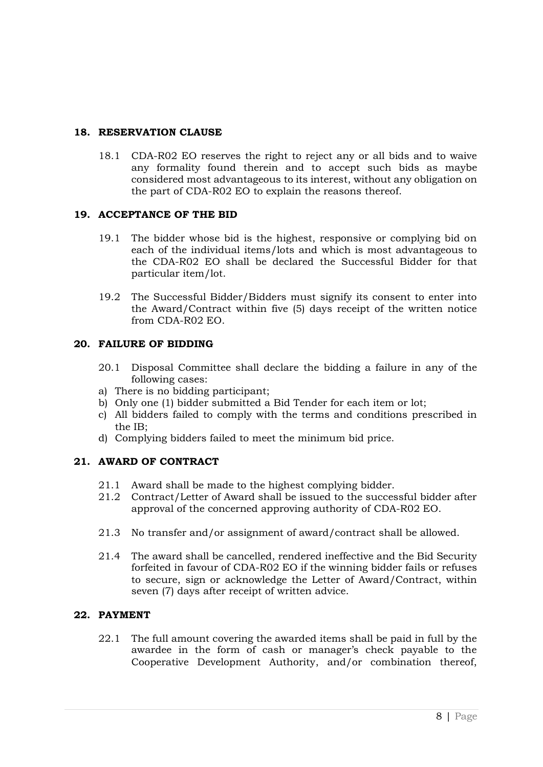# **18. RESERVATION CLAUSE**

18.1 CDA-R02 EO reserves the right to reject any or all bids and to waive any formality found therein and to accept such bids as maybe considered most advantageous to its interest, without any obligation on the part of CDA-R02 EO to explain the reasons thereof.

# **19. ACCEPTANCE OF THE BID**

- 19.1 The bidder whose bid is the highest, responsive or complying bid on each of the individual items/lots and which is most advantageous to the CDA-R02 EO shall be declared the Successful Bidder for that particular item/lot.
- 19.2 The Successful Bidder/Bidders must signify its consent to enter into the Award/Contract within five (5) days receipt of the written notice from CDA-R02 EO.

# **20. FAILURE OF BIDDING**

- 20.1 Disposal Committee shall declare the bidding a failure in any of the following cases:
- a) There is no bidding participant;
- b) Only one (1) bidder submitted a Bid Tender for each item or lot;
- c) All bidders failed to comply with the terms and conditions prescribed in the IB;
- d) Complying bidders failed to meet the minimum bid price.

# **21. AWARD OF CONTRACT**

- 21.1 Award shall be made to the highest complying bidder.
- 21.2 Contract/Letter of Award shall be issued to the successful bidder after approval of the concerned approving authority of CDA-R02 EO.
- 21.3 No transfer and/or assignment of award/contract shall be allowed.
- 21.4 The award shall be cancelled, rendered ineffective and the Bid Security forfeited in favour of CDA-R02 EO if the winning bidder fails or refuses to secure, sign or acknowledge the Letter of Award/Contract, within seven (7) days after receipt of written advice.

# **22. PAYMENT**

22.1 The full amount covering the awarded items shall be paid in full by the awardee in the form of cash or manager's check payable to the Cooperative Development Authority, and/or combination thereof,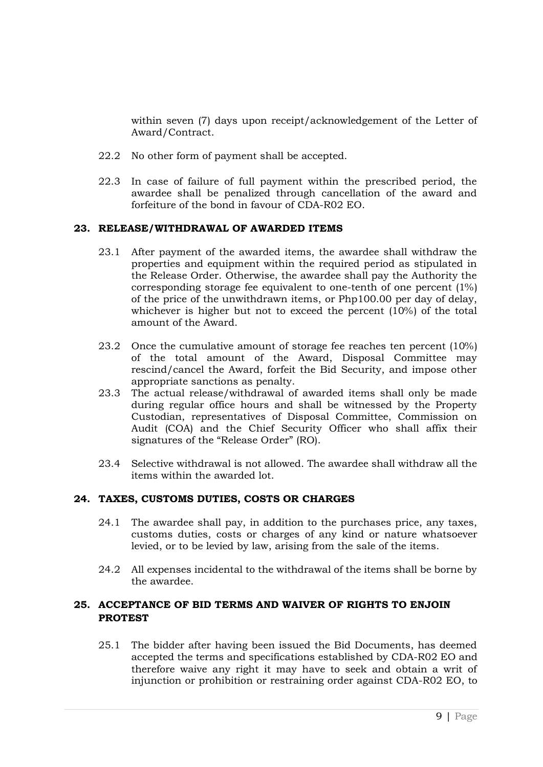within seven (7) days upon receipt/acknowledgement of the Letter of Award/Contract.

- 22.2 No other form of payment shall be accepted.
- 22.3 In case of failure of full payment within the prescribed period, the awardee shall be penalized through cancellation of the award and forfeiture of the bond in favour of CDA-R02 EO.

# **23. RELEASE/WITHDRAWAL OF AWARDED ITEMS**

- 23.1 After payment of the awarded items, the awardee shall withdraw the properties and equipment within the required period as stipulated in the Release Order. Otherwise, the awardee shall pay the Authority the corresponding storage fee equivalent to one-tenth of one percent (1%) of the price of the unwithdrawn items, or Php100.00 per day of delay, whichever is higher but not to exceed the percent (10%) of the total amount of the Award.
- 23.2 Once the cumulative amount of storage fee reaches ten percent (10%) of the total amount of the Award, Disposal Committee may rescind/cancel the Award, forfeit the Bid Security, and impose other appropriate sanctions as penalty.
- 23.3 The actual release/withdrawal of awarded items shall only be made during regular office hours and shall be witnessed by the Property Custodian, representatives of Disposal Committee, Commission on Audit (COA) and the Chief Security Officer who shall affix their signatures of the "Release Order" (RO).
- 23.4 Selective withdrawal is not allowed. The awardee shall withdraw all the items within the awarded lot.

# **24. TAXES, CUSTOMS DUTIES, COSTS OR CHARGES**

- 24.1 The awardee shall pay, in addition to the purchases price, any taxes, customs duties, costs or charges of any kind or nature whatsoever levied, or to be levied by law, arising from the sale of the items.
- 24.2 All expenses incidental to the withdrawal of the items shall be borne by the awardee.

# **25. ACCEPTANCE OF BID TERMS AND WAIVER OF RIGHTS TO ENJOIN PROTEST**

25.1 The bidder after having been issued the Bid Documents, has deemed accepted the terms and specifications established by CDA-R02 EO and therefore waive any right it may have to seek and obtain a writ of injunction or prohibition or restraining order against CDA-R02 EO, to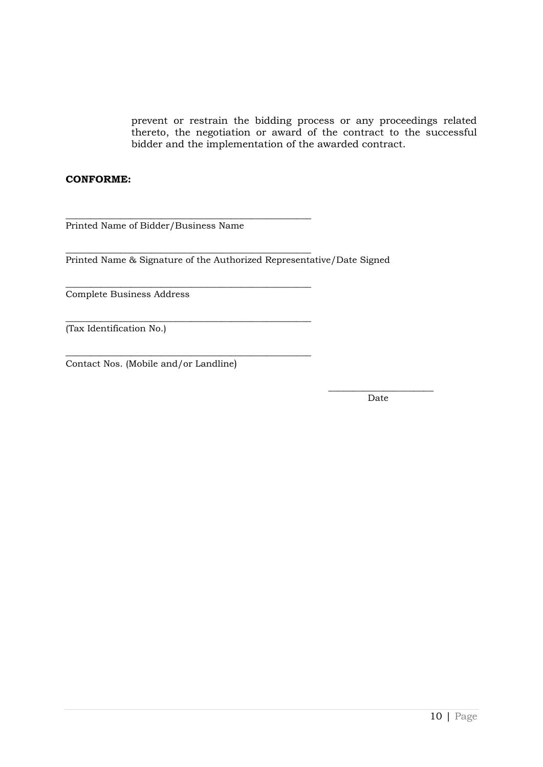prevent or restrain the bidding process or any proceedings related thereto, the negotiation or award of the contract to the successful bidder and the implementation of the awarded contract.

#### **CONFORME:**

\_\_\_\_\_\_\_\_\_\_\_\_\_\_\_\_\_\_\_\_\_\_\_\_\_\_\_\_\_\_\_\_\_\_\_\_\_\_\_\_\_\_\_\_\_\_\_\_\_ Printed Name of Bidder/Business Name

\_\_\_\_\_\_\_\_\_\_\_\_\_\_\_\_\_\_\_\_\_\_\_\_\_\_\_\_\_\_\_\_\_\_\_\_\_\_\_\_\_\_\_\_\_\_\_\_\_

\_\_\_\_\_\_\_\_\_\_\_\_\_\_\_\_\_\_\_\_\_\_\_\_\_\_\_\_\_\_\_\_\_\_\_\_\_\_\_\_\_\_\_\_\_\_\_\_\_

\_\_\_\_\_\_\_\_\_\_\_\_\_\_\_\_\_\_\_\_\_\_\_\_\_\_\_\_\_\_\_\_\_\_\_\_\_\_\_\_\_\_\_\_\_\_\_\_\_

\_\_\_\_\_\_\_\_\_\_\_\_\_\_\_\_\_\_\_\_\_\_\_\_\_\_\_\_\_\_\_\_\_\_\_\_\_\_\_\_\_\_\_\_\_\_\_\_\_

Printed Name & Signature of the Authorized Representative/Date Signed

Complete Business Address

(Tax Identification No.)

Contact Nos. (Mobile and/or Landline)

 $\_$ Date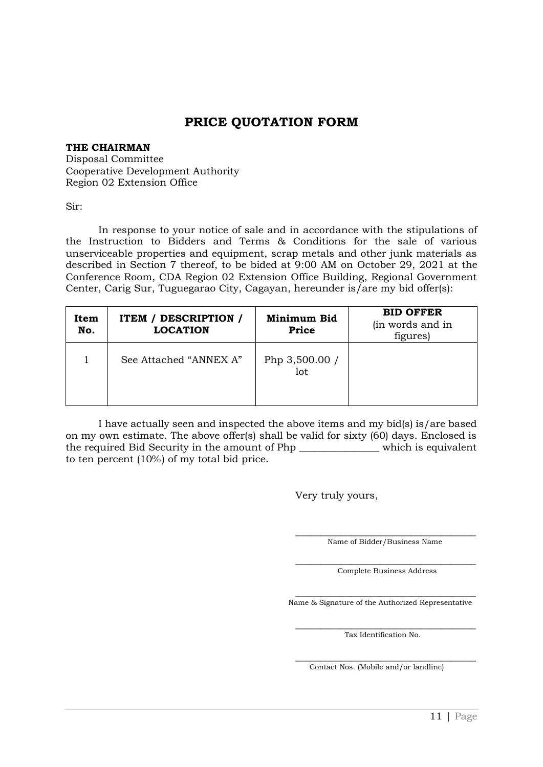# **PRICE QUOTATION FORM**

#### **THE CHAIRMAN**

Disposal Committee Cooperative Development Authority Region 02 Extension Office

Sir:

In response to your notice of sale and in accordance with the stipulations of the Instruction to Bidders and Terms & Conditions for the sale of various unserviceable properties and equipment, scrap metals and other junk materials as described in Section 7 thereof, to be bided at 9:00 AM on October 29, 2021 at the Conference Room, CDA Region 02 Extension Office Building, Regional Government Center, Carig Sur, Tuguegarao City, Cagayan, hereunder is/are my bid offer(s):

| Item<br>No. | <b>ITEM / DESCRIPTION /</b><br><b>LOCATION</b> | Minimum Bid<br><b>Price</b> | <b>BID OFFER</b><br>(in words and in<br>figures) |
|-------------|------------------------------------------------|-----------------------------|--------------------------------------------------|
|             | See Attached "ANNEX A"                         | Php 3,500.00 /<br>lot       |                                                  |

I have actually seen and inspected the above items and my bid(s) is/are based on my own estimate. The above offer(s) shall be valid for sixty (60) days. Enclosed is the required Bid Security in the amount of Php \_\_\_\_\_\_\_\_\_\_\_\_\_\_\_\_ which is equivalent to ten percent (10%) of my total bid price.

Very truly yours,

\_\_\_\_\_\_\_\_\_\_\_\_\_\_\_\_\_\_\_\_\_\_\_\_\_\_\_\_\_\_\_\_\_\_\_\_ Name of Bidder/Business Name

\_\_\_\_\_\_\_\_\_\_\_\_\_\_\_\_\_\_\_\_\_\_\_\_\_\_\_\_\_\_\_\_\_\_\_\_ Complete Business Address

\_\_\_\_\_\_\_\_\_\_\_\_\_\_\_\_\_\_\_\_\_\_\_\_\_\_\_\_\_\_\_\_\_\_\_\_ Name & Signature of the Authorized Representative

> \_\_\_\_\_\_\_\_\_\_\_\_\_\_\_\_\_\_\_\_\_\_\_\_\_\_\_\_\_\_\_\_\_\_\_\_ Tax Identification No.

> \_\_\_\_\_\_\_\_\_\_\_\_\_\_\_\_\_\_\_\_\_\_\_\_\_\_\_\_\_\_\_\_\_\_\_\_ Contact Nos. (Mobile and/or landline)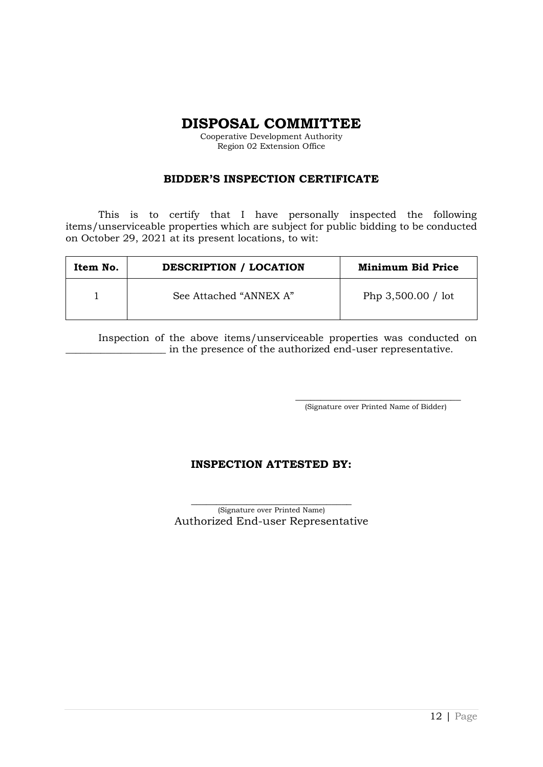**DISPOSAL COMMITTEE**

Cooperative Development Authority Region 02 Extension Office

# **BIDDER'S INSPECTION CERTIFICATE**

This is to certify that I have personally inspected the following items/unserviceable properties which are subject for public bidding to be conducted on October 29, 2021 at its present locations, to wit:

| Item No. | <b>DESCRIPTION / LOCATION</b> | <b>Minimum Bid Price</b> |
|----------|-------------------------------|--------------------------|
|          | See Attached "ANNEX A"        | Php $3,500.00 /$ lot     |

Inspection of the above items/unserviceable properties was conducted on \_\_\_\_\_\_\_\_\_\_\_\_\_\_\_\_\_\_\_\_ in the presence of the authorized end-user representative.

> \_\_\_\_\_\_\_\_\_\_\_\_\_\_\_\_\_\_\_\_\_\_\_\_\_\_\_\_\_\_\_\_\_ (Signature over Printed Name of Bidder)

# **INSPECTION ATTESTED BY:**

\_\_\_\_\_\_\_\_\_\_\_\_\_\_\_\_\_\_\_\_\_\_\_\_\_\_\_\_\_\_\_\_ (Signature over Printed Name) Authorized End-user Representative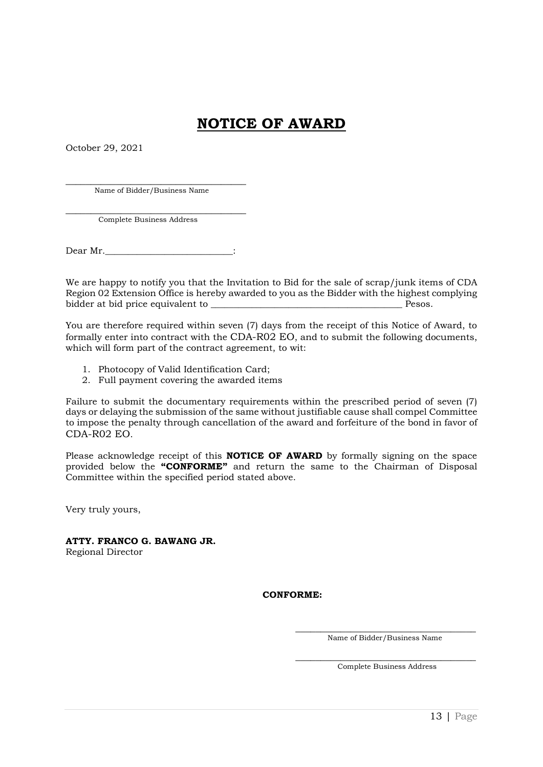# **NOTICE OF AWARD**

October 29, 2021

\_\_\_\_\_\_\_\_\_\_\_\_\_\_\_\_\_\_\_\_\_\_\_\_\_\_\_\_\_\_\_\_\_\_\_\_ Name of Bidder/Business Name

\_\_\_\_\_\_\_\_\_\_\_\_\_\_\_\_\_\_\_\_\_\_\_\_\_\_\_\_\_\_\_\_\_\_\_\_ Complete Business Address

Dear Mr.

We are happy to notify you that the Invitation to Bid for the sale of scrap/junk items of CDA Region 02 Extension Office is hereby awarded to you as the Bidder with the highest complying bidder at bid price equivalent to \_\_\_\_\_\_\_\_\_\_\_\_\_\_\_\_\_\_\_\_\_\_\_\_\_\_\_\_\_\_\_\_\_\_\_\_\_\_\_\_\_\_ Pesos.

You are therefore required within seven (7) days from the receipt of this Notice of Award, to formally enter into contract with the CDA-R02 EO, and to submit the following documents, which will form part of the contract agreement, to wit:

- 1. Photocopy of Valid Identification Card;
- 2. Full payment covering the awarded items

Failure to submit the documentary requirements within the prescribed period of seven (7) days or delaying the submission of the same without justifiable cause shall compel Committee to impose the penalty through cancellation of the award and forfeiture of the bond in favor of CDA-R02 EO.

Please acknowledge receipt of this **NOTICE OF AWARD** by formally signing on the space provided below the **"CONFORME"** and return the same to the Chairman of Disposal Committee within the specified period stated above.

Very truly yours,

**ATTY. FRANCO G. BAWANG JR.** Regional Director

**CONFORME:**

\_\_\_\_\_\_\_\_\_\_\_\_\_\_\_\_\_\_\_\_\_\_\_\_\_\_\_\_\_\_\_\_\_\_\_\_ Name of Bidder/Business Name

\_\_\_\_\_\_\_\_\_\_\_\_\_\_\_\_\_\_\_\_\_\_\_\_\_\_\_\_\_\_\_\_\_\_\_\_ Complete Business Address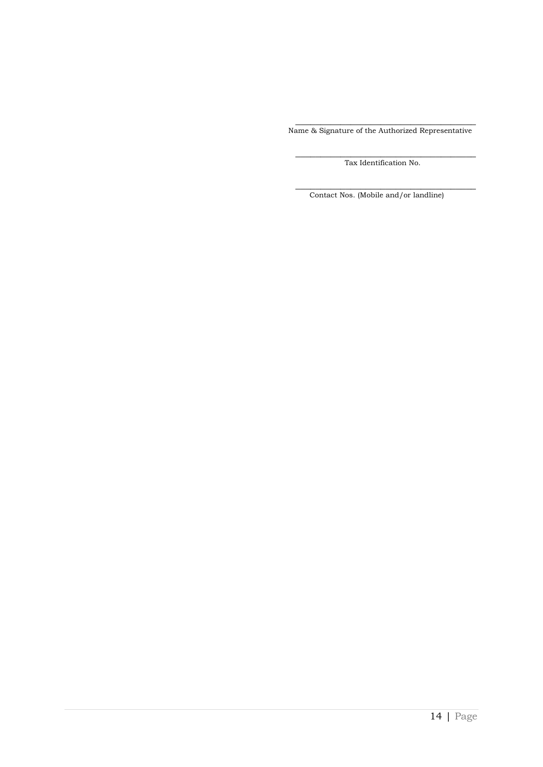\_\_\_\_\_\_\_\_\_\_\_\_\_\_\_\_\_\_\_\_\_\_\_\_\_\_\_\_\_\_\_\_\_\_\_\_ Name & Signature of the Authorized Representative

> \_\_\_\_\_\_\_\_\_\_\_\_\_\_\_\_\_\_\_\_\_\_\_\_\_\_\_\_\_\_\_\_\_\_\_\_ Tax Identification No.

> \_\_\_\_\_\_\_\_\_\_\_\_\_\_\_\_\_\_\_\_\_\_\_\_\_\_\_\_\_\_\_\_\_\_\_\_ Contact Nos. (Mobile and/or landline)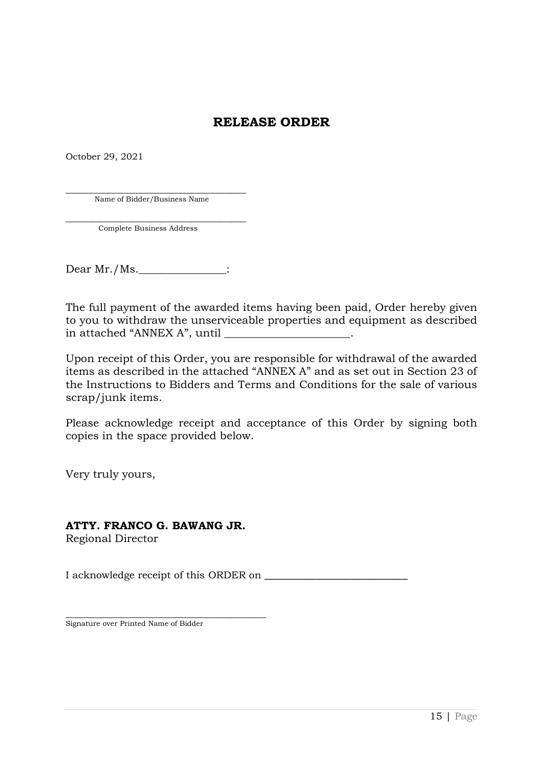# **RELEASE ORDER**

October 29, 2021

\_\_\_\_\_\_\_\_\_\_\_\_\_\_\_\_\_\_\_\_\_\_\_\_\_\_\_\_\_\_\_\_\_\_\_\_ Name of Bidder/Business Name

\_\_\_\_\_\_\_\_\_\_\_\_\_\_\_\_\_\_\_\_\_\_\_\_\_\_\_\_\_\_\_\_\_\_\_\_ Complete Business Address

Dear Mr./Ms.\_\_\_\_\_\_\_\_\_\_\_\_\_\_:

The full payment of the awarded items having been paid, Order hereby given to you to withdraw the unserviceable properties and equipment as described in attached "ANNEX A", until \_\_\_\_\_\_\_\_\_\_\_\_\_\_\_\_\_\_\_\_\_\_\_.

Upon receipt of this Order, you are responsible for withdrawal of the awarded items as described in the attached "ANNEX A" and as set out in Section 23 of the Instructions to Bidders and Terms and Conditions for the sale of various scrap/junk items.

Please acknowledge receipt and acceptance of this Order by signing both copies in the space provided below.

Very truly yours,

# **ATTY. FRANCO G. BAWANG JR.**

Regional Director

I acknowledge receipt of this ORDER on

\_\_\_\_\_\_\_\_\_\_\_\_\_\_\_\_\_\_\_\_\_\_\_\_\_\_\_\_\_\_\_\_\_\_\_\_\_\_\_\_ Signature over Printed Name of Bidder